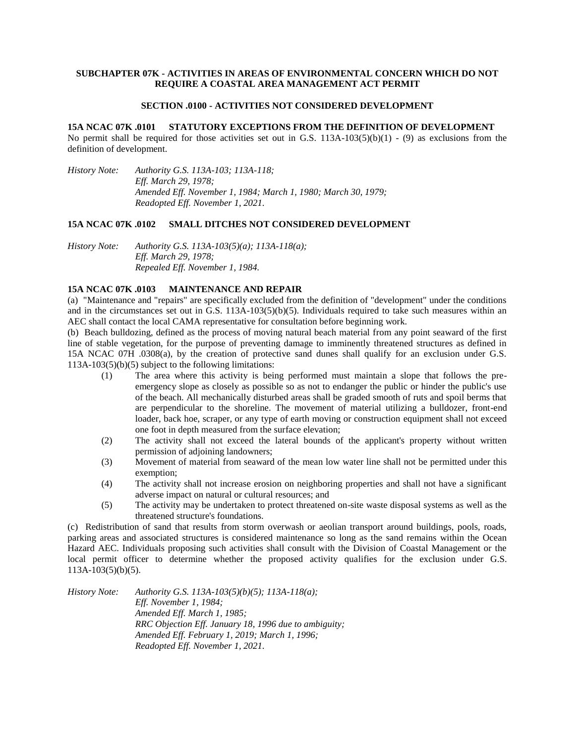## **SUBCHAPTER 07K - ACTIVITIES IN AREAS OF ENVIRONMENTAL CONCERN WHICH DO NOT REQUIRE A COASTAL AREA MANAGEMENT ACT PERMIT**

#### **SECTION .0100 - ACTIVITIES NOT CONSIDERED DEVELOPMENT**

#### **15A NCAC 07K .0101 STATUTORY EXCEPTIONS FROM THE DEFINITION OF DEVELOPMENT**

No permit shall be required for those activities set out in G.S.  $113A-103(5)(b)(1) - (9)$  as exclusions from the definition of development.

*History Note: Authority G.S. 113A-103; 113A-118; Eff. March 29, 1978; Amended Eff. November 1, 1984; March 1, 1980; March 30, 1979; Readopted Eff. November 1, 2021.*

### **15A NCAC 07K .0102 SMALL DITCHES NOT CONSIDERED DEVELOPMENT**

*History Note: Authority G.S. 113A-103(5)(a); 113A-118(a); Eff. March 29, 1978; Repealed Eff. November 1, 1984.*

## **15A NCAC 07K .0103 MAINTENANCE AND REPAIR**

(a) "Maintenance and "repairs" are specifically excluded from the definition of "development" under the conditions and in the circumstances set out in G.S. 113A-103(5)(b)(5). Individuals required to take such measures within an AEC shall contact the local CAMA representative for consultation before beginning work.

(b) Beach bulldozing, defined as the process of moving natural beach material from any point seaward of the first line of stable vegetation, for the purpose of preventing damage to imminently threatened structures as defined in 15A NCAC 07H .0308(a), by the creation of protective sand dunes shall qualify for an exclusion under G.S. 113A-103(5)(b)(5) subject to the following limitations:

- (1) The area where this activity is being performed must maintain a slope that follows the preemergency slope as closely as possible so as not to endanger the public or hinder the public's use of the beach. All mechanically disturbed areas shall be graded smooth of ruts and spoil berms that are perpendicular to the shoreline. The movement of material utilizing a bulldozer, front-end loader, back hoe, scraper, or any type of earth moving or construction equipment shall not exceed one foot in depth measured from the surface elevation;
- (2) The activity shall not exceed the lateral bounds of the applicant's property without written permission of adjoining landowners;
- (3) Movement of material from seaward of the mean low water line shall not be permitted under this exemption;
- (4) The activity shall not increase erosion on neighboring properties and shall not have a significant adverse impact on natural or cultural resources; and
- (5) The activity may be undertaken to protect threatened on-site waste disposal systems as well as the threatened structure's foundations.

(c) Redistribution of sand that results from storm overwash or aeolian transport around buildings, pools, roads, parking areas and associated structures is considered maintenance so long as the sand remains within the Ocean Hazard AEC. Individuals proposing such activities shall consult with the Division of Coastal Management or the local permit officer to determine whether the proposed activity qualifies for the exclusion under G.S. 113A-103(5)(b)(5).

*History Note: Authority G.S. 113A-103(5)(b)(5); 113A-118(a); Eff. November 1, 1984; Amended Eff. March 1, 1985; RRC Objection Eff. January 18, 1996 due to ambiguity; Amended Eff. February 1, 2019; March 1, 1996; Readopted Eff. November 1, 2021.*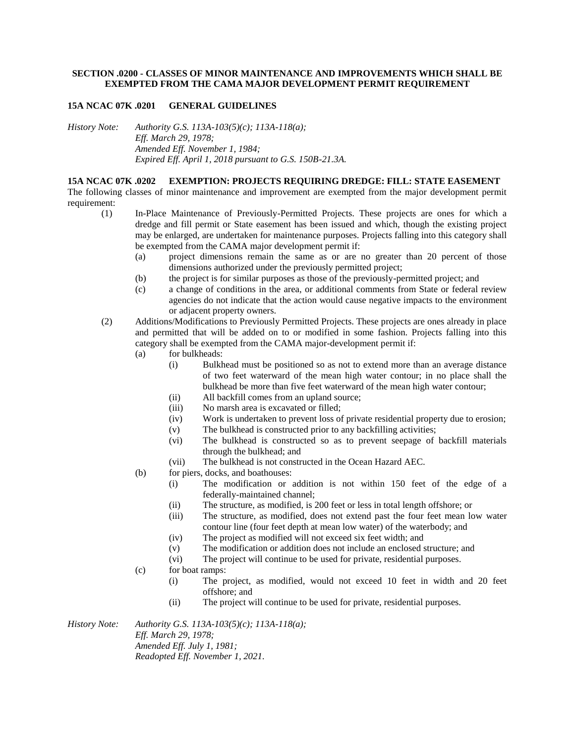## **SECTION .0200 - CLASSES OF MINOR MAINTENANCE AND IMPROVEMENTS WHICH SHALL BE EXEMPTED FROM THE CAMA MAJOR DEVELOPMENT PERMIT REQUIREMENT**

## **15A NCAC 07K .0201 GENERAL GUIDELINES**

*History Note: Authority G.S. 113A-103(5)(c); 113A-118(a); Eff. March 29, 1978; Amended Eff. November 1, 1984; Expired Eff. April 1, 2018 pursuant to G.S. 150B-21.3A.*

## **15A NCAC 07K .0202 EXEMPTION: PROJECTS REQUIRING DREDGE: FILL: STATE EASEMENT**

The following classes of minor maintenance and improvement are exempted from the major development permit requirement:

- (1) In-Place Maintenance of Previously-Permitted Projects. These projects are ones for which a dredge and fill permit or State easement has been issued and which, though the existing project may be enlarged, are undertaken for maintenance purposes. Projects falling into this category shall be exempted from the CAMA major development permit if:
	- (a) project dimensions remain the same as or are no greater than 20 percent of those dimensions authorized under the previously permitted project;
	- (b) the project is for similar purposes as those of the previously-permitted project; and
	- (c) a change of conditions in the area, or additional comments from State or federal review agencies do not indicate that the action would cause negative impacts to the environment or adjacent property owners.
- (2) Additions/Modifications to Previously Permitted Projects. These projects are ones already in place and permitted that will be added on to or modified in some fashion. Projects falling into this category shall be exempted from the CAMA major-development permit if:
	- (a) for bulkheads:
		- (i) Bulkhead must be positioned so as not to extend more than an average distance of two feet waterward of the mean high water contour; in no place shall the bulkhead be more than five feet waterward of the mean high water contour;
		- (ii) All backfill comes from an upland source;
		- (iii) No marsh area is excavated or filled;
		- (iv) Work is undertaken to prevent loss of private residential property due to erosion;
		- (v) The bulkhead is constructed prior to any backfilling activities;
		- (vi) The bulkhead is constructed so as to prevent seepage of backfill materials through the bulkhead; and
		- (vii) The bulkhead is not constructed in the Ocean Hazard AEC.
	- (b) for piers, docks, and boathouses:
		- (i) The modification or addition is not within 150 feet of the edge of a federally-maintained channel;
		- (ii) The structure, as modified, is 200 feet or less in total length offshore; or
		- (iii) The structure, as modified, does not extend past the four feet mean low water contour line (four feet depth at mean low water) of the waterbody; and
		- (iv) The project as modified will not exceed six feet width; and
		- (v) The modification or addition does not include an enclosed structure; and
		- (vi) The project will continue to be used for private, residential purposes.
	- (c) for boat ramps:
		- (i) The project, as modified, would not exceed 10 feet in width and 20 feet offshore; and
		- (ii) The project will continue to be used for private, residential purposes.

*History Note: Authority G.S. 113A-103(5)(c); 113A-118(a); Eff. March 29, 1978; Amended Eff. July 1, 1981; Readopted Eff. November 1, 2021.*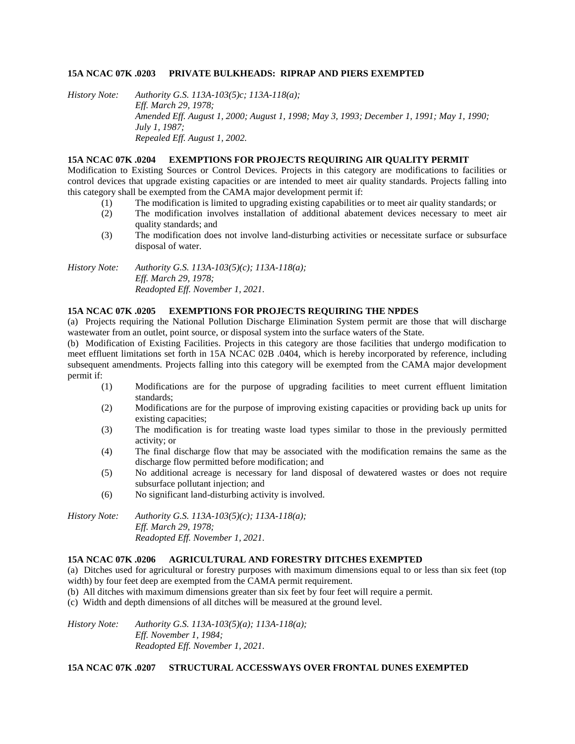### **15A NCAC 07K .0203 PRIVATE BULKHEADS: RIPRAP AND PIERS EXEMPTED**

*History Note: Authority G.S. 113A-103(5)c; 113A-118(a); Eff. March 29, 1978; Amended Eff. August 1, 2000; August 1, 1998; May 3, 1993; December 1, 1991; May 1, 1990; July 1, 1987; Repealed Eff. August 1, 2002.*

## **15A NCAC 07K .0204 EXEMPTIONS FOR PROJECTS REQUIRING AIR QUALITY PERMIT**

Modification to Existing Sources or Control Devices. Projects in this category are modifications to facilities or control devices that upgrade existing capacities or are intended to meet air quality standards. Projects falling into this category shall be exempted from the CAMA major development permit if:

- (1) The modification is limited to upgrading existing capabilities or to meet air quality standards; or
- (2) The modification involves installation of additional abatement devices necessary to meet air quality standards; and
- (3) The modification does not involve land-disturbing activities or necessitate surface or subsurface disposal of water.

*History Note: Authority G.S. 113A-103(5)(c); 113A-118(a); Eff. March 29, 1978; Readopted Eff. November 1, 2021.*

# **15A NCAC 07K .0205 EXEMPTIONS FOR PROJECTS REQUIRING THE NPDES**

(a) Projects requiring the National Pollution Discharge Elimination System permit are those that will discharge wastewater from an outlet, point source, or disposal system into the surface waters of the State.

(b) Modification of Existing Facilities. Projects in this category are those facilities that undergo modification to meet effluent limitations set forth in 15A NCAC 02B .0404, which is hereby incorporated by reference, including subsequent amendments. Projects falling into this category will be exempted from the CAMA major development permit if:

- (1) Modifications are for the purpose of upgrading facilities to meet current effluent limitation standards;
- (2) Modifications are for the purpose of improving existing capacities or providing back up units for existing capacities;
- (3) The modification is for treating waste load types similar to those in the previously permitted activity; or
- (4) The final discharge flow that may be associated with the modification remains the same as the discharge flow permitted before modification; and
- (5) No additional acreage is necessary for land disposal of dewatered wastes or does not require subsurface pollutant injection; and
- (6) No significant land-disturbing activity is involved.

*History Note: Authority G.S. 113A-103(5)(c); 113A-118(a); Eff. March 29, 1978; Readopted Eff. November 1, 2021.*

## **15A NCAC 07K .0206 AGRICULTURAL AND FORESTRY DITCHES EXEMPTED**

(a) Ditches used for agricultural or forestry purposes with maximum dimensions equal to or less than six feet (top width) by four feet deep are exempted from the CAMA permit requirement.

- (b) All ditches with maximum dimensions greater than six feet by four feet will require a permit.
- (c) Width and depth dimensions of all ditches will be measured at the ground level.

*History Note: Authority G.S. 113A-103(5)(a); 113A-118(a); Eff. November 1, 1984; Readopted Eff. November 1, 2021.*

#### **15A NCAC 07K .0207 STRUCTURAL ACCESSWAYS OVER FRONTAL DUNES EXEMPTED**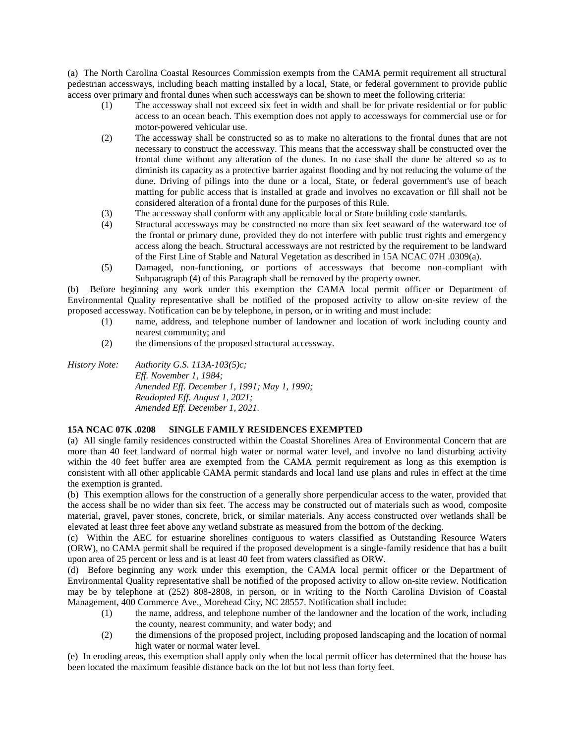(a) The North Carolina Coastal Resources Commission exempts from the CAMA permit requirement all structural pedestrian accessways, including beach matting installed by a local, State, or federal government to provide public access over primary and frontal dunes when such accessways can be shown to meet the following criteria:

- (1) The accessway shall not exceed six feet in width and shall be for private residential or for public access to an ocean beach. This exemption does not apply to accessways for commercial use or for motor-powered vehicular use.
- (2) The accessway shall be constructed so as to make no alterations to the frontal dunes that are not necessary to construct the accessway. This means that the accessway shall be constructed over the frontal dune without any alteration of the dunes. In no case shall the dune be altered so as to diminish its capacity as a protective barrier against flooding and by not reducing the volume of the dune. Driving of pilings into the dune or a local, State, or federal government's use of beach matting for public access that is installed at grade and involves no excavation or fill shall not be considered alteration of a frontal dune for the purposes of this Rule.
- (3) The accessway shall conform with any applicable local or State building code standards.
- (4) Structural accessways may be constructed no more than six feet seaward of the waterward toe of the frontal or primary dune, provided they do not interfere with public trust rights and emergency access along the beach. Structural accessways are not restricted by the requirement to be landward of the First Line of Stable and Natural Vegetation as described in 15A NCAC 07H .0309(a).
- (5) Damaged, non-functioning, or portions of accessways that become non-compliant with Subparagraph (4) of this Paragraph shall be removed by the property owner.

(b) Before beginning any work under this exemption the CAMA local permit officer or Department of Environmental Quality representative shall be notified of the proposed activity to allow on-site review of the proposed accessway. Notification can be by telephone, in person, or in writing and must include:

- (1) name, address, and telephone number of landowner and location of work including county and nearest community; and
- (2) the dimensions of the proposed structural accessway.

*History Note: Authority G.S. 113A-103(5)c; Eff. November 1, 1984; Amended Eff. December 1, 1991; May 1, 1990; Readopted Eff. August 1, 2021; Amended Eff. December 1, 2021.*

## **15A NCAC 07K .0208 SINGLE FAMILY RESIDENCES EXEMPTED**

(a) All single family residences constructed within the Coastal Shorelines Area of Environmental Concern that are more than 40 feet landward of normal high water or normal water level, and involve no land disturbing activity within the 40 feet buffer area are exempted from the CAMA permit requirement as long as this exemption is consistent with all other applicable CAMA permit standards and local land use plans and rules in effect at the time the exemption is granted.

(b) This exemption allows for the construction of a generally shore perpendicular access to the water, provided that the access shall be no wider than six feet. The access may be constructed out of materials such as wood, composite material, gravel, paver stones, concrete, brick, or similar materials. Any access constructed over wetlands shall be elevated at least three feet above any wetland substrate as measured from the bottom of the decking.

(c) Within the AEC for estuarine shorelines contiguous to waters classified as Outstanding Resource Waters (ORW), no CAMA permit shall be required if the proposed development is a single-family residence that has a built upon area of 25 percent or less and is at least 40 feet from waters classified as ORW.

(d) Before beginning any work under this exemption, the CAMA local permit officer or the Department of Environmental Quality representative shall be notified of the proposed activity to allow on-site review. Notification may be by telephone at (252) 808-2808, in person, or in writing to the North Carolina Division of Coastal Management, 400 Commerce Ave., Morehead City, NC 28557. Notification shall include:

- (1) the name, address, and telephone number of the landowner and the location of the work, including the county, nearest community, and water body; and
- (2) the dimensions of the proposed project, including proposed landscaping and the location of normal high water or normal water level.

(e) In eroding areas, this exemption shall apply only when the local permit officer has determined that the house has been located the maximum feasible distance back on the lot but not less than forty feet.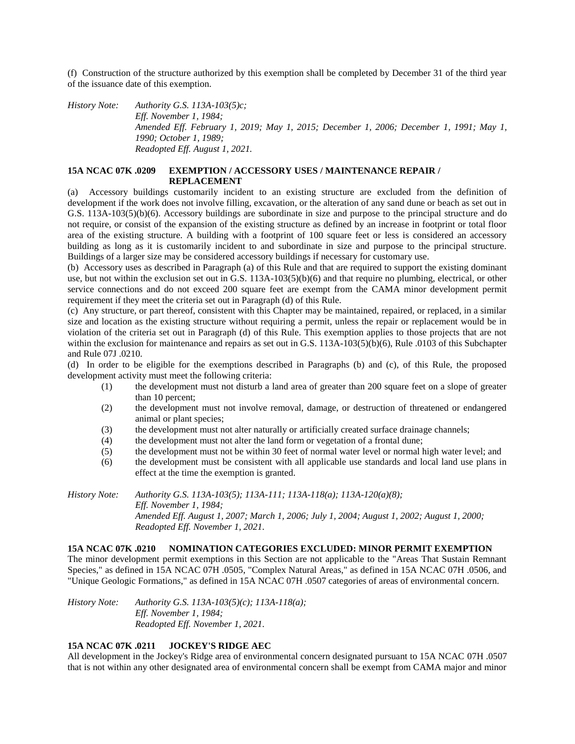(f) Construction of the structure authorized by this exemption shall be completed by December 31 of the third year of the issuance date of this exemption.

*History Note: Authority G.S. 113A-103(5)c; Eff. November 1, 1984; Amended Eff. February 1, 2019; May 1, 2015; December 1, 2006; December 1, 1991; May 1, 1990; October 1, 1989; Readopted Eff. August 1, 2021.*

## **15A NCAC 07K .0209 EXEMPTION / ACCESSORY USES / MAINTENANCE REPAIR / REPLACEMENT**

(a) Accessory buildings customarily incident to an existing structure are excluded from the definition of development if the work does not involve filling, excavation, or the alteration of any sand dune or beach as set out in G.S. 113A-103(5)(b)(6). Accessory buildings are subordinate in size and purpose to the principal structure and do not require, or consist of the expansion of the existing structure as defined by an increase in footprint or total floor area of the existing structure. A building with a footprint of 100 square feet or less is considered an accessory building as long as it is customarily incident to and subordinate in size and purpose to the principal structure. Buildings of a larger size may be considered accessory buildings if necessary for customary use.

(b) Accessory uses as described in Paragraph (a) of this Rule and that are required to support the existing dominant use, but not within the exclusion set out in G.S. 113A-103(5)(b)(6) and that require no plumbing, electrical, or other service connections and do not exceed 200 square feet are exempt from the CAMA minor development permit requirement if they meet the criteria set out in Paragraph (d) of this Rule.

(c) Any structure, or part thereof, consistent with this Chapter may be maintained, repaired, or replaced, in a similar size and location as the existing structure without requiring a permit, unless the repair or replacement would be in violation of the criteria set out in Paragraph (d) of this Rule. This exemption applies to those projects that are not within the exclusion for maintenance and repairs as set out in G.S. 113A-103(5)(b)(6), Rule .0103 of this Subchapter and Rule 07J .0210.

(d) In order to be eligible for the exemptions described in Paragraphs (b) and (c), of this Rule, the proposed development activity must meet the following criteria:

- (1) the development must not disturb a land area of greater than 200 square feet on a slope of greater than 10 percent;
- (2) the development must not involve removal, damage, or destruction of threatened or endangered animal or plant species;
- (3) the development must not alter naturally or artificially created surface drainage channels;
- (4) the development must not alter the land form or vegetation of a frontal dune;
- (5) the development must not be within 30 feet of normal water level or normal high water level; and
- (6) the development must be consistent with all applicable use standards and local land use plans in effect at the time the exemption is granted.

*History Note: Authority G.S. 113A-103(5); 113A-111; 113A-118(a); 113A-120(a)(8); Eff. November 1, 1984; Amended Eff. August 1, 2007; March 1, 2006; July 1, 2004; August 1, 2002; August 1, 2000; Readopted Eff. November 1, 2021.*

## **15A NCAC 07K .0210 NOMINATION CATEGORIES EXCLUDED: MINOR PERMIT EXEMPTION**

The minor development permit exemptions in this Section are not applicable to the "Areas That Sustain Remnant Species," as defined in 15A NCAC 07H .0505, "Complex Natural Areas," as defined in 15A NCAC 07H .0506, and "Unique Geologic Formations," as defined in 15A NCAC 07H .0507 categories of areas of environmental concern.

*History Note: Authority G.S. 113A-103(5)(c); 113A-118(a); Eff. November 1, 1984; Readopted Eff. November 1, 2021.*

# **15A NCAC 07K .0211 JOCKEY'S RIDGE AEC**

All development in the Jockey's Ridge area of environmental concern designated pursuant to 15A NCAC 07H .0507 that is not within any other designated area of environmental concern shall be exempt from CAMA major and minor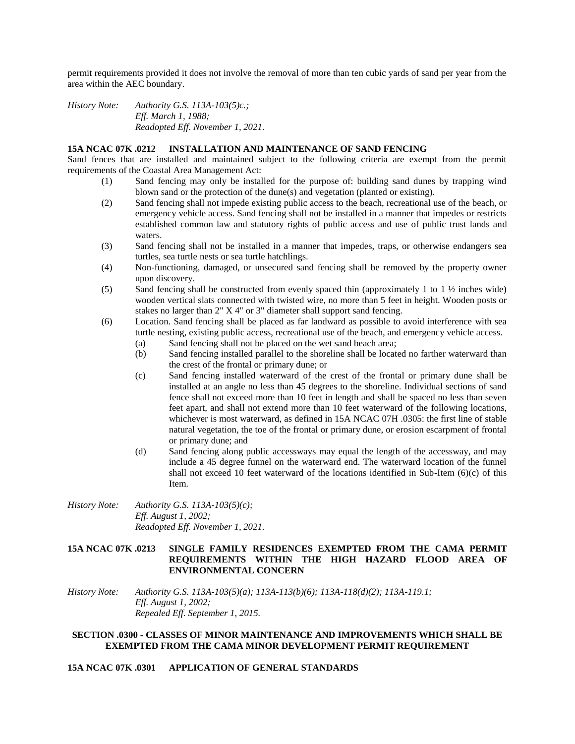permit requirements provided it does not involve the removal of more than ten cubic yards of sand per year from the area within the AEC boundary.

*History Note: Authority G.S. 113A-103(5)c.; Eff. March 1, 1988; Readopted Eff. November 1, 2021.*

#### **15A NCAC 07K .0212 INSTALLATION AND MAINTENANCE OF SAND FENCING**

Sand fences that are installed and maintained subject to the following criteria are exempt from the permit requirements of the Coastal Area Management Act:

- (1) Sand fencing may only be installed for the purpose of: building sand dunes by trapping wind blown sand or the protection of the dune(s) and vegetation (planted or existing).
- (2) Sand fencing shall not impede existing public access to the beach, recreational use of the beach, or emergency vehicle access. Sand fencing shall not be installed in a manner that impedes or restricts established common law and statutory rights of public access and use of public trust lands and waters.
- (3) Sand fencing shall not be installed in a manner that impedes, traps, or otherwise endangers sea turtles, sea turtle nests or sea turtle hatchlings.
- (4) Non-functioning, damaged, or unsecured sand fencing shall be removed by the property owner upon discovery.
- (5) Sand fencing shall be constructed from evenly spaced thin (approximately 1 to 1 ½ inches wide) wooden vertical slats connected with twisted wire, no more than 5 feet in height. Wooden posts or stakes no larger than 2" X 4" or 3" diameter shall support sand fencing.
- (6) Location. Sand fencing shall be placed as far landward as possible to avoid interference with sea turtle nesting, existing public access, recreational use of the beach, and emergency vehicle access.
	- (a) Sand fencing shall not be placed on the wet sand beach area;
	- (b) Sand fencing installed parallel to the shoreline shall be located no farther waterward than the crest of the frontal or primary dune; or
	- (c) Sand fencing installed waterward of the crest of the frontal or primary dune shall be installed at an angle no less than 45 degrees to the shoreline. Individual sections of sand fence shall not exceed more than 10 feet in length and shall be spaced no less than seven feet apart, and shall not extend more than 10 feet waterward of the following locations, whichever is most waterward, as defined in 15A NCAC 07H .0305: the first line of stable natural vegetation, the toe of the frontal or primary dune, or erosion escarpment of frontal or primary dune; and
	- (d) Sand fencing along public accessways may equal the length of the accessway, and may include a 45 degree funnel on the waterward end. The waterward location of the funnel shall not exceed 10 feet waterward of the locations identified in Sub-Item (6)(c) of this Item.
- *History Note: Authority G.S. 113A-103(5)(c); Eff. August 1, 2002; Readopted Eff. November 1, 2021.*

## **15A NCAC 07K .0213 SINGLE FAMILY RESIDENCES EXEMPTED FROM THE CAMA PERMIT REQUIREMENTS WITHIN THE HIGH HAZARD FLOOD AREA OF ENVIRONMENTAL CONCERN**

*History Note: Authority G.S. 113A-103(5)(a); 113A-113(b)(6); 113A-118(d)(2); 113A-119.1; Eff. August 1, 2002; Repealed Eff. September 1, 2015.*

### **SECTION .0300 - CLASSES OF MINOR MAINTENANCE AND IMPROVEMENTS WHICH SHALL BE EXEMPTED FROM THE CAMA MINOR DEVELOPMENT PERMIT REQUIREMENT**

**15A NCAC 07K .0301 APPLICATION OF GENERAL STANDARDS**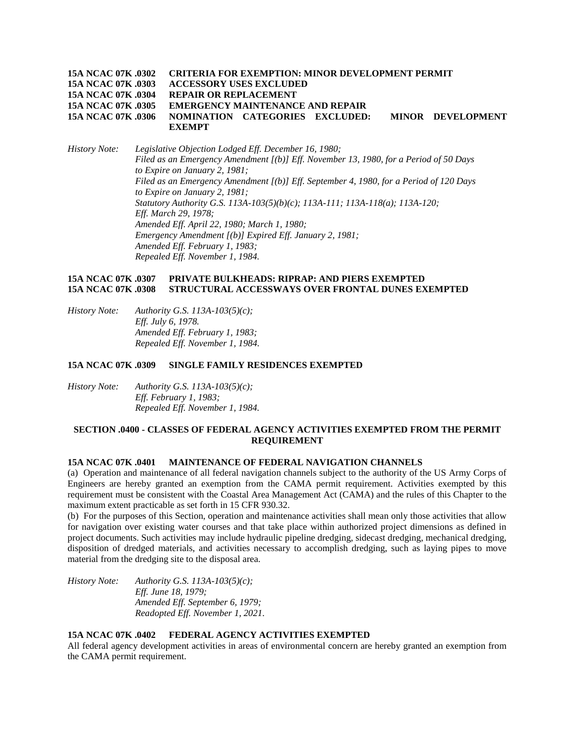|                    | 15A NCAC 07K .0302 CRITERIA FOR EXEMPTION: MINOR DEVELOPMENT PERMIT |                   |
|--------------------|---------------------------------------------------------------------|-------------------|
|                    | 15A NCAC 07K .0303 ACCESSORY USES EXCLUDED                          |                   |
| 15A NCAC 07K .0304 | <b>REPAIR OR REPLACEMENT</b>                                        |                   |
|                    | 15A NCAC 07K .0305 EMERGENCY MAINTENANCE AND REPAIR                 |                   |
| 15A NCAC 07K .0306 | NOMINATION CATEGORIES EXCLUDED:                                     | MINOR DEVELOPMENT |
|                    | <b>EXEMPT</b>                                                       |                   |

*History Note: Legislative Objection Lodged Eff. December 16, 1980; Filed as an Emergency Amendment [(b)] Eff. November 13, 1980, for a Period of 50 Days to Expire on January 2, 1981; Filed as an Emergency Amendment [(b)] Eff. September 4, 1980, for a Period of 120 Days to Expire on January 2, 1981; Statutory Authority G.S. 113A-103(5)(b)(c); 113A-111; 113A-118(a); 113A-120; Eff. March 29, 1978; Amended Eff. April 22, 1980; March 1, 1980; Emergency Amendment [(b)] Expired Eff. January 2, 1981; Amended Eff. February 1, 1983; Repealed Eff. November 1, 1984.*

### **15A NCAC 07K .0307 PRIVATE BULKHEADS: RIPRAP: AND PIERS EXEMPTED 15A NCAC 07K .0308 STRUCTURAL ACCESSWAYS OVER FRONTAL DUNES EXEMPTED**

*History Note: Authority G.S. 113A-103(5)(c); Eff. July 6, 1978. Amended Eff. February 1, 1983; Repealed Eff. November 1, 1984.*

#### **15A NCAC 07K .0309 SINGLE FAMILY RESIDENCES EXEMPTED**

*History Note: Authority G.S. 113A-103(5)(c); Eff. February 1, 1983; Repealed Eff. November 1, 1984.*

## **SECTION .0400 - CLASSES OF FEDERAL AGENCY ACTIVITIES EXEMPTED FROM THE PERMIT REQUIREMENT**

## **15A NCAC 07K .0401 MAINTENANCE OF FEDERAL NAVIGATION CHANNELS**

(a) Operation and maintenance of all federal navigation channels subject to the authority of the US Army Corps of Engineers are hereby granted an exemption from the CAMA permit requirement. Activities exempted by this requirement must be consistent with the Coastal Area Management Act (CAMA) and the rules of this Chapter to the maximum extent practicable as set forth in 15 CFR 930.32.

(b) For the purposes of this Section, operation and maintenance activities shall mean only those activities that allow for navigation over existing water courses and that take place within authorized project dimensions as defined in project documents. Such activities may include hydraulic pipeline dredging, sidecast dredging, mechanical dredging, disposition of dredged materials, and activities necessary to accomplish dredging, such as laying pipes to move material from the dredging site to the disposal area.

*History Note: Authority G.S. 113A-103(5)(c); Eff. June 18, 1979; Amended Eff. September 6, 1979; Readopted Eff. November 1, 2021.*

## **15A NCAC 07K .0402 FEDERAL AGENCY ACTIVITIES EXEMPTED**

All federal agency development activities in areas of environmental concern are hereby granted an exemption from the CAMA permit requirement.